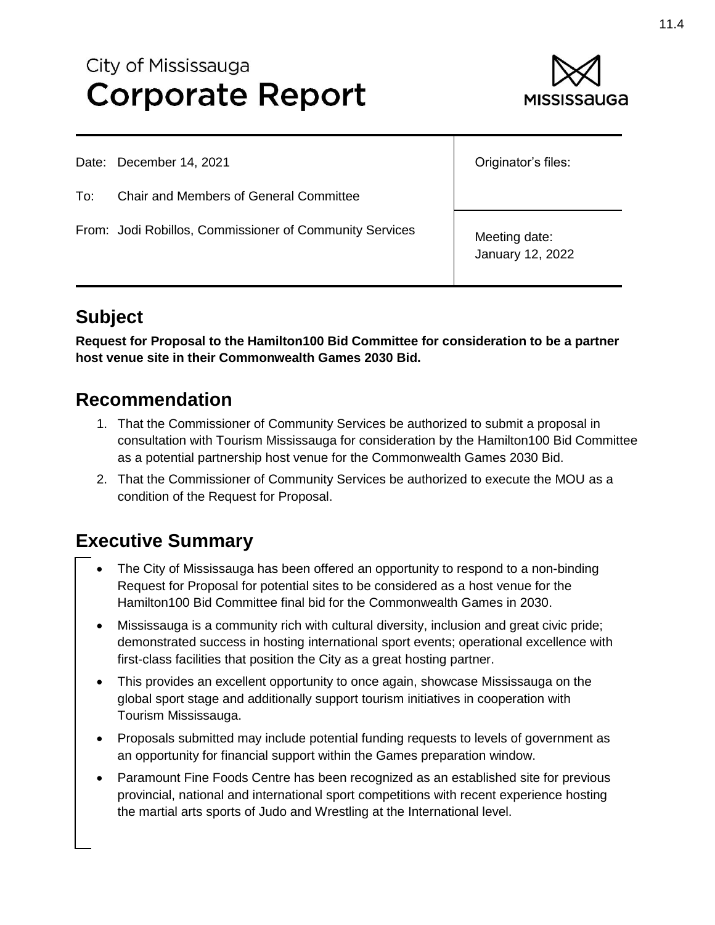# City of Mississauga **Corporate Report**



Date: December 14, 2021

To: Chair and Members of General Committee

From: Jodi Robillos, Commissioner of Community Services

Originator's files:

Meeting date: January 12, 2022

# **Subject**

**Request for Proposal to the Hamilton100 Bid Committee for consideration to be a partner host venue site in their Commonwealth Games 2030 Bid.**

# **Recommendation**

- 1. That the Commissioner of Community Services be authorized to submit a proposal in consultation with Tourism Mississauga for consideration by the Hamilton100 Bid Committee as a potential partnership host venue for the Commonwealth Games 2030 Bid.
- 2. That the Commissioner of Community Services be authorized to execute the MOU as a condition of the Request for Proposal.

# **Executive Summary**

- The City of Mississauga has been offered an opportunity to respond to a non-binding Request for Proposal for potential sites to be considered as a host venue for the Hamilton100 Bid Committee final bid for the Commonwealth Games in 2030.
- Mississauga is a community rich with cultural diversity, inclusion and great civic pride; demonstrated success in hosting international sport events; operational excellence with first-class facilities that position the City as a great hosting partner.
- This provides an excellent opportunity to once again, showcase Mississauga on the global sport stage and additionally support tourism initiatives in cooperation with Tourism Mississauga.
- Proposals submitted may include potential funding requests to levels of government as an opportunity for financial support within the Games preparation window.
- Paramount Fine Foods Centre has been recognized as an established site for previous provincial, national and international sport competitions with recent experience hosting the martial arts sports of Judo and Wrestling at the International level.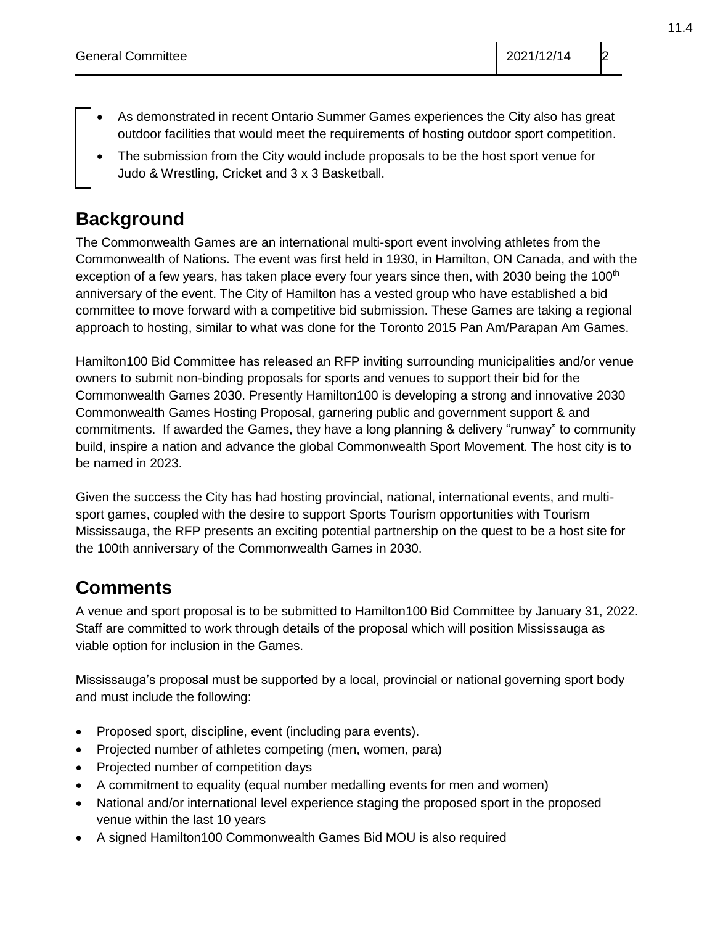- As demonstrated in recent Ontario Summer Games experiences the City also has great outdoor facilities that would meet the requirements of hosting outdoor sport competition.
- The submission from the City would include proposals to be the host sport venue for Judo & Wrestling, Cricket and 3 x 3 Basketball.

# **Background**

The Commonwealth Games are an international multi-sport event involving athletes from the Commonwealth of Nations. The event was first held in 1930, in Hamilton, ON Canada, and with the exception of a few years, has taken place every four years since then, with 2030 being the  $100<sup>th</sup>$ anniversary of the event. The City of Hamilton has a vested group who have established a bid committee to move forward with a competitive bid submission. These Games are taking a regional approach to hosting, similar to what was done for the Toronto 2015 Pan Am/Parapan Am Games.

Hamilton100 Bid Committee has released an RFP inviting surrounding municipalities and/or venue owners to submit non-binding proposals for sports and venues to support their bid for the Commonwealth Games 2030. Presently Hamilton100 is developing a strong and innovative 2030 Commonwealth Games Hosting Proposal, garnering public and government support & and commitments. If awarded the Games, they have a long planning & delivery "runway" to community build, inspire a nation and advance the global Commonwealth Sport Movement. The host city is to be named in 2023.

Given the success the City has had hosting provincial, national, international events, and multisport games, coupled with the desire to support Sports Tourism opportunities with Tourism Mississauga, the RFP presents an exciting potential partnership on the quest to be a host site for the 100th anniversary of the Commonwealth Games in 2030.

## **Comments**

A venue and sport proposal is to be submitted to Hamilton100 Bid Committee by January 31, 2022. Staff are committed to work through details of the proposal which will position Mississauga as viable option for inclusion in the Games.

Mississauga's proposal must be supported by a local, provincial or national governing sport body and must include the following:

- Proposed sport, discipline, event (including para events).
- Projected number of athletes competing (men, women, para)
- Projected number of competition days
- A commitment to equality (equal number medalling events for men and women)
- National and/or international level experience staging the proposed sport in the proposed venue within the last 10 years
- A signed Hamilton100 Commonwealth Games Bid MOU is also required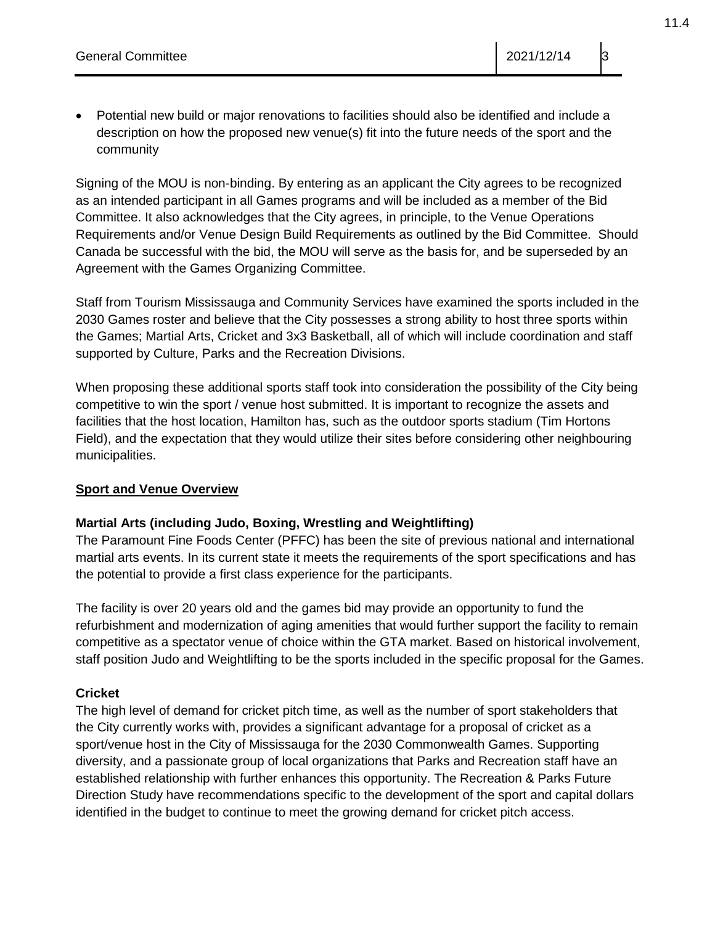Potential new build or major renovations to facilities should also be identified and include a description on how the proposed new venue(s) fit into the future needs of the sport and the community

Signing of the MOU is non-binding. By entering as an applicant the City agrees to be recognized as an intended participant in all Games programs and will be included as a member of the Bid Committee. It also acknowledges that the City agrees, in principle, to the Venue Operations Requirements and/or Venue Design Build Requirements as outlined by the Bid Committee. Should Canada be successful with the bid, the MOU will serve as the basis for, and be superseded by an Agreement with the Games Organizing Committee.

Staff from Tourism Mississauga and Community Services have examined the sports included in the 2030 Games roster and believe that the City possesses a strong ability to host three sports within the Games; Martial Arts, Cricket and 3x3 Basketball, all of which will include coordination and staff supported by Culture, Parks and the Recreation Divisions.

When proposing these additional sports staff took into consideration the possibility of the City being competitive to win the sport / venue host submitted. It is important to recognize the assets and facilities that the host location, Hamilton has, such as the outdoor sports stadium (Tim Hortons Field), and the expectation that they would utilize their sites before considering other neighbouring municipalities.

#### **Sport and Venue Overview**

#### **Martial Arts (including Judo, Boxing, Wrestling and Weightlifting)**

The Paramount Fine Foods Center (PFFC) has been the site of previous national and international martial arts events. In its current state it meets the requirements of the sport specifications and has the potential to provide a first class experience for the participants.

The facility is over 20 years old and the games bid may provide an opportunity to fund the refurbishment and modernization of aging amenities that would further support the facility to remain competitive as a spectator venue of choice within the GTA market. Based on historical involvement, staff position Judo and Weightlifting to be the sports included in the specific proposal for the Games.

#### **Cricket**

The high level of demand for cricket pitch time, as well as the number of sport stakeholders that the City currently works with, provides a significant advantage for a proposal of cricket as a sport/venue host in the City of Mississauga for the 2030 Commonwealth Games. Supporting diversity, and a passionate group of local organizations that Parks and Recreation staff have an established relationship with further enhances this opportunity. The Recreation & Parks Future Direction Study have recommendations specific to the development of the sport and capital dollars identified in the budget to continue to meet the growing demand for cricket pitch access.